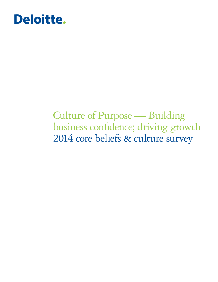# Deloitte.

## Culture of Purpose — Building business confidence; driving growth 2014 core beliefs & culture survey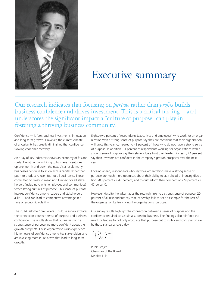

### Executive summary

Our research indicates that focusing on *purpose* rather than *profits* builds business confidence and drives investment. This is a critical finding—and underscores the significant impact a "culture of purpose" can play in fostering a thriving business community.

Confidence — it fuels business investments, innovation and long-term growth. However, the current climate of uncertainty has greatly diminished that confidence, slowing economic recovery.

An array of key indicators shows an economy of fits and starts. Everything from hiring to business inventories is up one month and down the next. As a result, many businesses continue to sit on excess capital rather than put it to productive use. But not all businesses. Those committed to creating meaningful impact for all stakeholders (including clients, employees and communities) foster strong cultures of purpose. This sense of purpose inspires confidence among leaders and stakeholders alike — and can lead to competitive advantage in a time of economic volatility.

The 2014 Deloitte Core Beliefs & Culture survey explores the connection between sense of purpose and business confidence. The results show that businesses with a strong sense of purpose are more confident about their growth prospects. These organizations also experience higher levels of confidence among key stakeholders and are investing more in initiatives that lead to long-term growth.

Eighty-two percent of respondents (executives and employees) who work for an organization with a strong sense of purpose say they are confident that their organization will grow this year, compared to 48 percent of those who do not have a strong sense of purpose. In addition, 81 percent of respondents working for organizations with a strong sense of purpose say their stakeholders trust their leadership team; 74 percent say their investors are confident in the company's growth prospects over the next year.

Looking ahead, respondents who say their organizations have a strong sense of purpose are much more optimistic about their ability to stay ahead of industry disruptions (83 percent vs. 42 percent) and to outperform their competition (79 percent vs. 47 percent).

However, despite the advantages the research links to a strong sense of purpose, 20 percent of all respondents say that leadership fails to set an example for the rest of the organization by truly living the organization's purpose.

Our survey results highlight the connection between a sense of purpose and the confidence required to sustain a successful business. The findings also reinforce the need for leaders to not only articulate that purpose but to visibly and consistently live by those standards every day.

Punit

Punit Renjen Chairman of the Board Deloitte LLP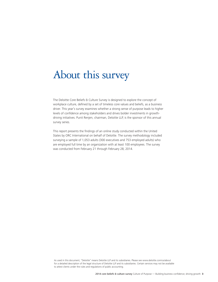### About this survey

The Deloitte Core Beliefs & Culture Survey is designed to explore the concept of workplace culture, defined by a set of timeless core values and beliefs, as a business driver. This year's survey examines whether a strong sense of purpose leads to higher levels of confidence among stakeholders and drives bolder investments in growthdriving initiatives. Punit Renjen, chairman, Deloitte LLP, is the sponsor of this annual survey series.

This report presents the findings of an online study conducted within the United States by ORC International on behalf of Deloitte. The survey methodology included surveying a sample of 1,053 adults (300 executives and 753 employed adults) who are employed full time by an organization with at least 100 employees. The survey was conducted from February 21 through February 28, 2014.

As used in this document, "Deloitte" means Deloitte LLP and its subsidiaries. Please see www.deloitte.com/us/about for a detailed description of the legal structure of Deloitte LLP and its subsidiaries. Certain services may not be available to attest clients under the rules and regulations of public accounting.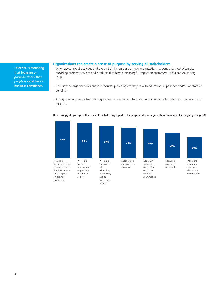Evidence is mounting that focusing on purpose rather than profits is what builds business confidence.

#### **Organizations can create a sense of purpose by serving all stakeholders**

- When asked about activities that are part of the purpose of their organization, respondents most often cite providing business services and products that have a meaningful impact on customers (89%) and on society (84%).
- 77% say the organization's purpose includes providing employees with education, experience and/or mentorship benefits.
- Acting as a corporate citizen through volunteering and contributions also can factor heavily in creating a sense of purpose.



#### **How strongly do you agree that each of the following is part of the purpose of your organization (summary of strongly agree/agree)?**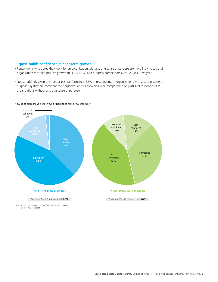#### **Purpose builds confidence in near-term growth**

- Respondents who agree they work for an organization with a strong sense of purpose are more likely to say their organization recorded positive growth (81% vs. 67%) and outgrew competitors (64% vs. 44%) last year.
- Not surprisingly given their better past performance, 82% of respondents at organizations with a strong sense of purpose say they are confident their organization will grow this year, compared to only 48% of respondents at organizations without a strong sense of purpose.



#### **How confident are you that your organization will grow this year?**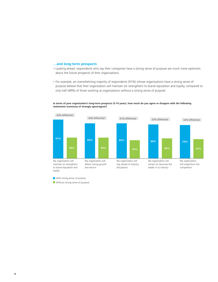#### **…and long-term prospects**

- Looking ahead, respondents who say their companies have a strong sense of purpose are much more optimistic about the future prospects of their organizations.
- For example, an overwhelming majority of respondents (91%) whose organizations have a strong sense of purpose believe that their organization will maintain (or strengthen) its brand reputation and loyalty, compared to only half (49%) of those working at organizations without a strong sense of purpose.



**In terms of your organization's long-term prospects (5-10 years), how much do you agree or disagree with the following statements (summary of strongly agree/agree)?**

**With strong sense of purpose**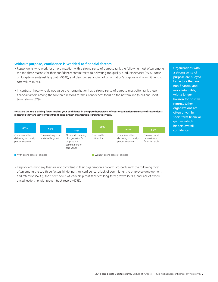#### **Without purpose, confidence is wedded to financial factors**

- Respondents who work for an organization with a strong sense of purpose rank the following most often among the top three reasons for their confidence: commitment to delivering top quality products/services (65%), focus on long-term sustainable growth (55%), and clear understanding of organization's purpose and commitment to core values (48%).
- In contrast, those who do not agree their organization has a strong sense of purpose most often rank these financial factors among the top three reasons for their confidence: focus on the bottom line (69%) and shortterm returns (52%).

**What are the top 3 driving forces fueling your confidence in the growth prospects of your organization (summary of respondents indicating they are very confident/confident in their organization's growth this year)?**



**With strong sense of purpose** Without strong sense of purpose

• Respondents who say they are not confident in their organization's growth prospects rank the following most often among the top three factors hindering their confidence: a lack of commitment to employee development and retention (57%), short-term focus of leadership that sacrifices long-term growth (56%), and lack of experienced leadership with proven track record (47%).

Organizations with a strong sense of purpose are buoyed by factors that are non-financial and more intangible, with a longer horizon for positive returns. Other organizations are often driven by short-term financial gain — which hinders overall confidence.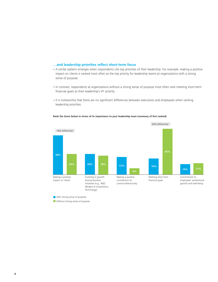#### **…and leadership priorities reflect short-term focus**

- A similar pattern emerges when respondents cite top priorities of their leadership. For example, making a positive impact on clients is ranked most often as the top priority for leadership teams at organizations with a strong sense of purpose.
- In contrast, respondents at organizations without a strong sense of purpose most often rank meeting short-term financial goals as their leadership's #1 priority.
- It is noteworthy that there are no significant differences between executives and employees when ranking leadership priorities.

#### **Rank the items below in terms of its importance to your leadership team (summary of first ranked)**



**With strong sense of purpose**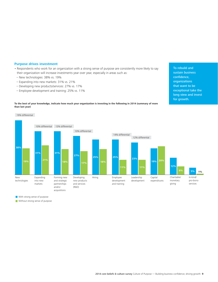#### **Purpose drives investment**

**than last year)**

- Respondents who work for an organization with a strong sense of purpose are consistently more likely to say their organization will increase investments year over year, especially in areas such as:
- New technologies: 38% vs. 19%
- Expanding into new markets: 31% vs. 21%
- Developing new products/services: 27% vs. 17%
- Employee development and training: 25% vs. 11%



To rebuild and sustain business



With strong sense of purpose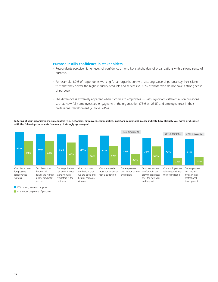#### **Purpose instills confidence in stakeholders**

- Respondents perceive higher levels of confidence among key stakeholders of organizations with a strong sense of purpose.
- For example, 89% of respondents working for an organization with a strong sense of purpose say their clients trust that they deliver the highest quality products and services vs. 66% of those who do not have a strong sense of purpose.
- The difference is extremely apparent when it comes to employees with significant differentials on questions such as how fully employees are engaged with the organization (73% vs. 23%) and employee trust in their professional development (71% vs. 24%).

**In terms of your organization's stakeholders (e.g. customers, employees, communities, investors, regulators), please indicate how strongly you agree or disagree with the following statements (summary of strongly agree/agree)**



**With strong sense of purpose**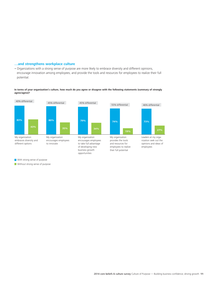#### **…and strengthens workplace culture**

• Organizations with a strong sense of purpose are more likely to embrace diversity and different opinions, encourage innovation among employees, and provide the tools and resources for employees to realize their full potential.

#### **In terms of your organization's culture, how much do you agree or disagree with the following statements (summary of strongly agree/agree)?**



With strong sense of purpose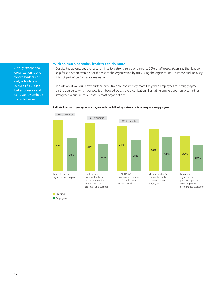A truly exceptional organization is one where leaders not only articulate a culture of purpose but also visibly and consistently embody those behaviors.

#### **With so much at stake, leaders can do more**

- Despite the advantages the research links to a strong sense of purpose, 20% of all respondents say that leadership fails to set an example for the rest of the organization by truly living the organization's purpose and 18% say it is not part of performance evaluations.
- In addition, if you drill down further, executives are consistently more likely than employees to strongly agree on the degree to which purpose is embedded across the organization, illustrating ample opportunity to further strengthen a culture of purpose in most organizations.



#### **Indicate how much you agree or disagree with the following statements (summary of strongly agree)**

**Executives** 

**Employees**